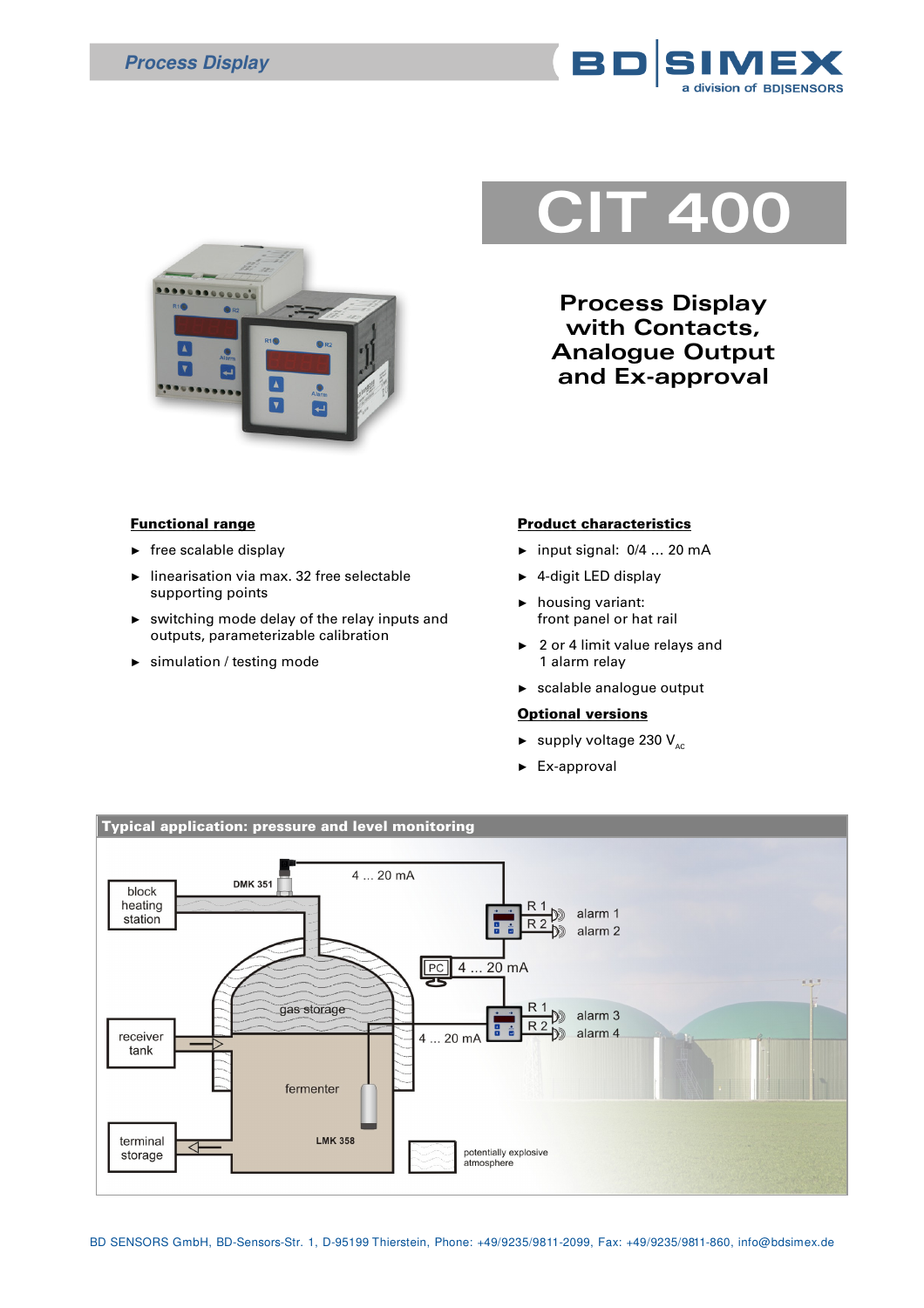



## **CIT 400**

**Process Display with Contacts, Analogue Output and Ex-approval**

## Functional range

- $\blacktriangleright$  free scalable display
- linearisation via max. 32 free selectable supporting points
- ► switching mode delay of the relay inputs and outputs, parameterizable calibration
- simulation / testing mode

## Product characteristics

- ► input signal: 0/4 … 20 mA
- ► 4-digit LED display
- ► housing variant: front panel or hat rail
- ► 2 or 4 limit value relays and 1 alarm relay
- ► scalable analogue output

## **Optional versions**

- $\blacktriangleright$  supply voltage 230 V<sub>AC</sub>
- ► Ex-approval